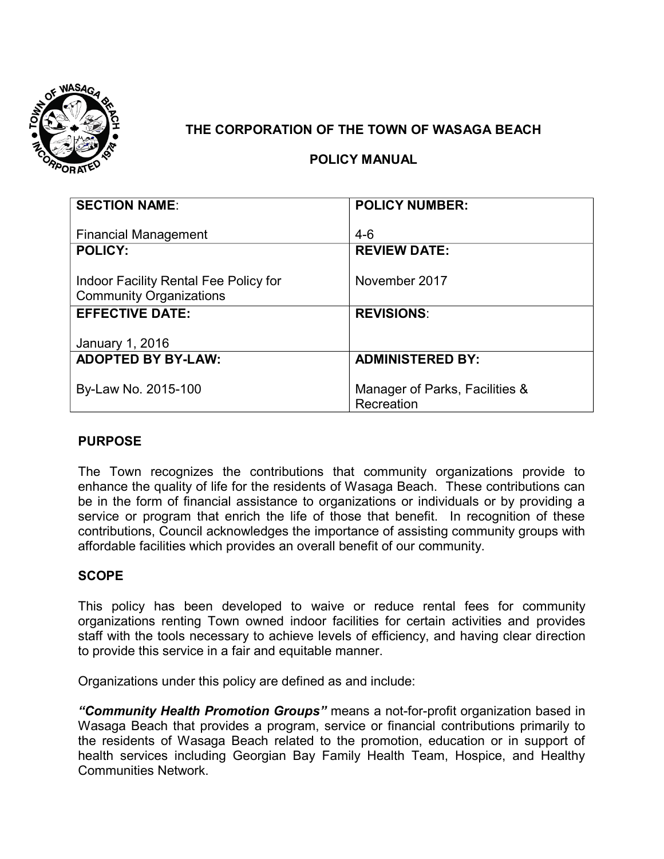

# **THE CORPORATION OF THE TOWN OF WASAGA BEACH**

## **POLICY MANUAL**

| <b>SECTION NAME:</b>                  | <b>POLICY NUMBER:</b>          |
|---------------------------------------|--------------------------------|
|                                       |                                |
| <b>Financial Management</b>           | $4-6$                          |
| <b>POLICY:</b>                        | <b>REVIEW DATE:</b>            |
|                                       |                                |
| Indoor Facility Rental Fee Policy for | November 2017                  |
| <b>Community Organizations</b>        |                                |
| <b>EFFECTIVE DATE:</b>                | <b>REVISIONS:</b>              |
|                                       |                                |
| January 1, 2016                       |                                |
| <b>ADOPTED BY BY-LAW:</b>             | <b>ADMINISTERED BY:</b>        |
|                                       |                                |
| By-Law No. 2015-100                   | Manager of Parks, Facilities & |
|                                       | Recreation                     |

### **PURPOSE**

The Town recognizes the contributions that community organizations provide to enhance the quality of life for the residents of Wasaga Beach. These contributions can be in the form of financial assistance to organizations or individuals or by providing a service or program that enrich the life of those that benefit. In recognition of these contributions, Council acknowledges the importance of assisting community groups with affordable facilities which provides an overall benefit of our community.

### **SCOPE**

This policy has been developed to waive or reduce rental fees for community organizations renting Town owned indoor facilities for certain activities and provides staff with the tools necessary to achieve levels of efficiency, and having clear direction to provide this service in a fair and equitable manner.

Organizations under this policy are defined as and include:

*"Community Health Promotion Groups"* means a not-for-profit organization based in Wasaga Beach that provides a program, service or financial contributions primarily to the residents of Wasaga Beach related to the promotion, education or in support of health services including Georgian Bay Family Health Team, Hospice, and Healthy Communities Network.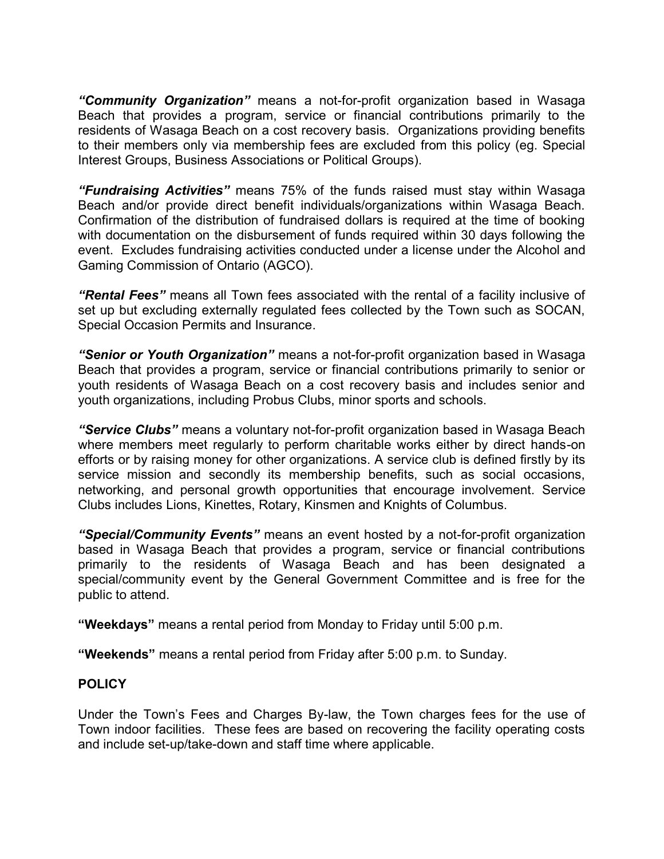*"Community Organization"* means a not-for-profit organization based in Wasaga Beach that provides a program, service or financial contributions primarily to the residents of Wasaga Beach on a cost recovery basis. Organizations providing benefits to their members only via membership fees are excluded from this policy (eg. Special Interest Groups, Business Associations or Political Groups).

*"Fundraising Activities"* means 75% of the funds raised must stay within Wasaga Beach and/or provide direct benefit individuals/organizations within Wasaga Beach. Confirmation of the distribution of fundraised dollars is required at the time of booking with documentation on the disbursement of funds required within 30 days following the event. Excludes fundraising activities conducted under a license under the Alcohol and Gaming Commission of Ontario (AGCO).

*"Rental Fees"* means all Town fees associated with the rental of a facility inclusive of set up but excluding externally regulated fees collected by the Town such as SOCAN, Special Occasion Permits and Insurance.

*"Senior or Youth Organization"* means a not-for-profit organization based in Wasaga Beach that provides a program, service or financial contributions primarily to senior or youth residents of Wasaga Beach on a cost recovery basis and includes senior and youth organizations, including Probus Clubs, minor sports and schools.

*"Service Clubs"* means a voluntary not-for-profit organization based in Wasaga Beach where members meet regularly to perform charitable works either by direct hands-on efforts or by raising money for other organizations. A service club is defined firstly by its service mission and secondly its membership benefits, such as social occasions, networking, and personal growth opportunities that encourage involvement. Service Clubs includes Lions, Kinettes, Rotary, Kinsmen and Knights of Columbus.

*"Special/Community Events"* means an event hosted by a not-for-profit organization based in Wasaga Beach that provides a program, service or financial contributions primarily to the residents of Wasaga Beach and has been designated a special/community event by the General Government Committee and is free for the public to attend.

**"Weekdays"** means a rental period from Monday to Friday until 5:00 p.m.

**"Weekends"** means a rental period from Friday after 5:00 p.m. to Sunday.

### **POLICY**

Under the Town's Fees and Charges By-law, the Town charges fees for the use of Town indoor facilities. These fees are based on recovering the facility operating costs and include set-up/take-down and staff time where applicable.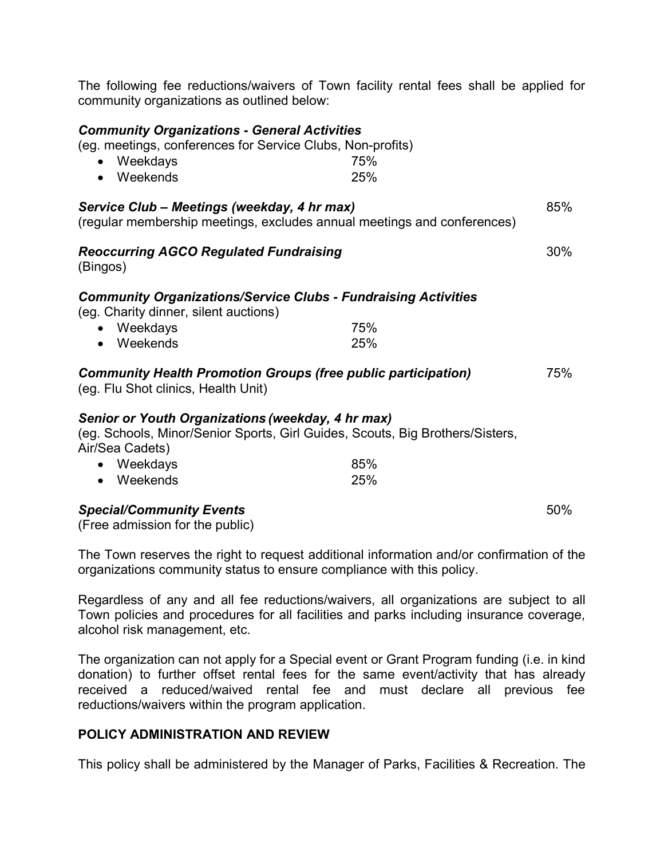| community organizations as outlined below:                                                                                                                                        |            |     |
|-----------------------------------------------------------------------------------------------------------------------------------------------------------------------------------|------------|-----|
| <b>Community Organizations - General Activities</b><br>(eg. meetings, conferences for Service Clubs, Non-profits)<br>Weekdays<br>Weekends                                         | 75%<br>25% |     |
| Service Club - Meetings (weekday, 4 hr max)<br>(regular membership meetings, excludes annual meetings and conferences)                                                            |            | 85% |
| <b>Reoccurring AGCO Regulated Fundraising</b><br>(Bingos)                                                                                                                         |            | 30% |
| <b>Community Organizations/Service Clubs - Fundraising Activities</b><br>(eg. Charity dinner, silent auctions)<br>• Weekdays<br>• Weekends                                        | 75%<br>25% |     |
| <b>Community Health Promotion Groups (free public participation)</b><br>(eg. Flu Shot clinics, Health Unit)                                                                       |            | 75% |
| Senior or Youth Organizations (weekday, 4 hr max)<br>(eg. Schools, Minor/Senior Sports, Girl Guides, Scouts, Big Brothers/Sisters,<br>Air/Sea Cadets)<br>• Weekdays<br>• Weekends | 85%<br>25% |     |
| <b>Special/Community Events</b><br>المقاطرين ومطارعته وممتعد وبالمسامعات                                                                                                          |            | 50% |

The following fee reductions/waivers of Town facility rental fees shall be applied for

(Free admission for the public)

The Town reserves the right to request additional information and/or confirmation of the organizations community status to ensure compliance with this policy.

Regardless of any and all fee reductions/waivers, all organizations are subject to all Town policies and procedures for all facilities and parks including insurance coverage, alcohol risk management, etc.

The organization can not apply for a Special event or Grant Program funding (i.e. in kind donation) to further offset rental fees for the same event/activity that has already received a reduced/waived rental fee and must declare all previous fee reductions/waivers within the program application.

### **POLICY ADMINISTRATION AND REVIEW**

This policy shall be administered by the Manager of Parks, Facilities & Recreation. The